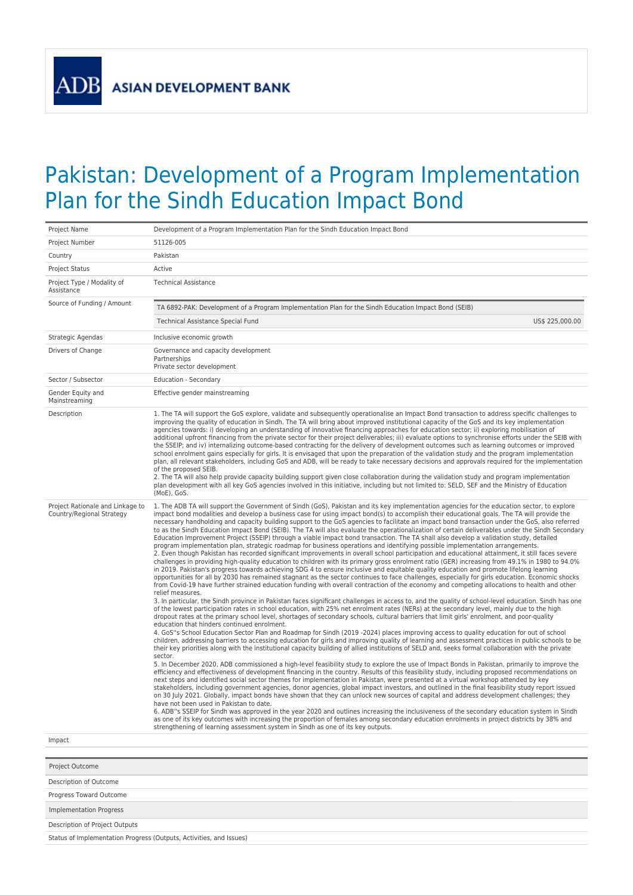## Pakistan: Development of a Program Implementation Plan for the Sindh Education Impact Bond

| Project Name                                                  | Development of a Program Implementation Plan for the Sindh Education Impact Bond                                                                                                                                                                                                                                                                                                                                                                                                                                                                                                                                                                                                                                                                                                                                                                                                                                                                                                                                                                                                                                                                                                                                                                                                                                                                                                                                                                                                                                                                                                                                                                                                                                                                                                                                                                                                                                                                                                                                                                                                                                                                                                                                                                                                                                                                                                                                                                                                                                                                                                                                                                                                                                                                                                                                                                                                                                                                                                                                                                                                                                                                                                                                                                                                                                                                                                                                                                                                                                                                                                                                                                                                                                                                                                    |
|---------------------------------------------------------------|-------------------------------------------------------------------------------------------------------------------------------------------------------------------------------------------------------------------------------------------------------------------------------------------------------------------------------------------------------------------------------------------------------------------------------------------------------------------------------------------------------------------------------------------------------------------------------------------------------------------------------------------------------------------------------------------------------------------------------------------------------------------------------------------------------------------------------------------------------------------------------------------------------------------------------------------------------------------------------------------------------------------------------------------------------------------------------------------------------------------------------------------------------------------------------------------------------------------------------------------------------------------------------------------------------------------------------------------------------------------------------------------------------------------------------------------------------------------------------------------------------------------------------------------------------------------------------------------------------------------------------------------------------------------------------------------------------------------------------------------------------------------------------------------------------------------------------------------------------------------------------------------------------------------------------------------------------------------------------------------------------------------------------------------------------------------------------------------------------------------------------------------------------------------------------------------------------------------------------------------------------------------------------------------------------------------------------------------------------------------------------------------------------------------------------------------------------------------------------------------------------------------------------------------------------------------------------------------------------------------------------------------------------------------------------------------------------------------------------------------------------------------------------------------------------------------------------------------------------------------------------------------------------------------------------------------------------------------------------------------------------------------------------------------------------------------------------------------------------------------------------------------------------------------------------------------------------------------------------------------------------------------------------------------------------------------------------------------------------------------------------------------------------------------------------------------------------------------------------------------------------------------------------------------------------------------------------------------------------------------------------------------------------------------------------------------------------------------------------------------------------------------------------------|
| Project Number                                                | 51126-005                                                                                                                                                                                                                                                                                                                                                                                                                                                                                                                                                                                                                                                                                                                                                                                                                                                                                                                                                                                                                                                                                                                                                                                                                                                                                                                                                                                                                                                                                                                                                                                                                                                                                                                                                                                                                                                                                                                                                                                                                                                                                                                                                                                                                                                                                                                                                                                                                                                                                                                                                                                                                                                                                                                                                                                                                                                                                                                                                                                                                                                                                                                                                                                                                                                                                                                                                                                                                                                                                                                                                                                                                                                                                                                                                                           |
| Country                                                       | Pakistan                                                                                                                                                                                                                                                                                                                                                                                                                                                                                                                                                                                                                                                                                                                                                                                                                                                                                                                                                                                                                                                                                                                                                                                                                                                                                                                                                                                                                                                                                                                                                                                                                                                                                                                                                                                                                                                                                                                                                                                                                                                                                                                                                                                                                                                                                                                                                                                                                                                                                                                                                                                                                                                                                                                                                                                                                                                                                                                                                                                                                                                                                                                                                                                                                                                                                                                                                                                                                                                                                                                                                                                                                                                                                                                                                                            |
| <b>Project Status</b>                                         | Active                                                                                                                                                                                                                                                                                                                                                                                                                                                                                                                                                                                                                                                                                                                                                                                                                                                                                                                                                                                                                                                                                                                                                                                                                                                                                                                                                                                                                                                                                                                                                                                                                                                                                                                                                                                                                                                                                                                                                                                                                                                                                                                                                                                                                                                                                                                                                                                                                                                                                                                                                                                                                                                                                                                                                                                                                                                                                                                                                                                                                                                                                                                                                                                                                                                                                                                                                                                                                                                                                                                                                                                                                                                                                                                                                                              |
| Project Type / Modality of<br>Assistance                      | <b>Technical Assistance</b>                                                                                                                                                                                                                                                                                                                                                                                                                                                                                                                                                                                                                                                                                                                                                                                                                                                                                                                                                                                                                                                                                                                                                                                                                                                                                                                                                                                                                                                                                                                                                                                                                                                                                                                                                                                                                                                                                                                                                                                                                                                                                                                                                                                                                                                                                                                                                                                                                                                                                                                                                                                                                                                                                                                                                                                                                                                                                                                                                                                                                                                                                                                                                                                                                                                                                                                                                                                                                                                                                                                                                                                                                                                                                                                                                         |
| Source of Funding / Amount                                    | TA 6892-PAK: Development of a Program Implementation Plan for the Sindh Education Impact Bond (SEIB)                                                                                                                                                                                                                                                                                                                                                                                                                                                                                                                                                                                                                                                                                                                                                                                                                                                                                                                                                                                                                                                                                                                                                                                                                                                                                                                                                                                                                                                                                                                                                                                                                                                                                                                                                                                                                                                                                                                                                                                                                                                                                                                                                                                                                                                                                                                                                                                                                                                                                                                                                                                                                                                                                                                                                                                                                                                                                                                                                                                                                                                                                                                                                                                                                                                                                                                                                                                                                                                                                                                                                                                                                                                                                |
|                                                               | US\$ 225,000.00<br>Technical Assistance Special Fund                                                                                                                                                                                                                                                                                                                                                                                                                                                                                                                                                                                                                                                                                                                                                                                                                                                                                                                                                                                                                                                                                                                                                                                                                                                                                                                                                                                                                                                                                                                                                                                                                                                                                                                                                                                                                                                                                                                                                                                                                                                                                                                                                                                                                                                                                                                                                                                                                                                                                                                                                                                                                                                                                                                                                                                                                                                                                                                                                                                                                                                                                                                                                                                                                                                                                                                                                                                                                                                                                                                                                                                                                                                                                                                                |
| Strategic Agendas                                             | Inclusive economic growth                                                                                                                                                                                                                                                                                                                                                                                                                                                                                                                                                                                                                                                                                                                                                                                                                                                                                                                                                                                                                                                                                                                                                                                                                                                                                                                                                                                                                                                                                                                                                                                                                                                                                                                                                                                                                                                                                                                                                                                                                                                                                                                                                                                                                                                                                                                                                                                                                                                                                                                                                                                                                                                                                                                                                                                                                                                                                                                                                                                                                                                                                                                                                                                                                                                                                                                                                                                                                                                                                                                                                                                                                                                                                                                                                           |
| Drivers of Change                                             | Governance and capacity development<br>Partnerships<br>Private sector development                                                                                                                                                                                                                                                                                                                                                                                                                                                                                                                                                                                                                                                                                                                                                                                                                                                                                                                                                                                                                                                                                                                                                                                                                                                                                                                                                                                                                                                                                                                                                                                                                                                                                                                                                                                                                                                                                                                                                                                                                                                                                                                                                                                                                                                                                                                                                                                                                                                                                                                                                                                                                                                                                                                                                                                                                                                                                                                                                                                                                                                                                                                                                                                                                                                                                                                                                                                                                                                                                                                                                                                                                                                                                                   |
| Sector / Subsector                                            | Education - Secondary                                                                                                                                                                                                                                                                                                                                                                                                                                                                                                                                                                                                                                                                                                                                                                                                                                                                                                                                                                                                                                                                                                                                                                                                                                                                                                                                                                                                                                                                                                                                                                                                                                                                                                                                                                                                                                                                                                                                                                                                                                                                                                                                                                                                                                                                                                                                                                                                                                                                                                                                                                                                                                                                                                                                                                                                                                                                                                                                                                                                                                                                                                                                                                                                                                                                                                                                                                                                                                                                                                                                                                                                                                                                                                                                                               |
| Gender Equity and<br>Mainstreaming                            | Effective gender mainstreaming                                                                                                                                                                                                                                                                                                                                                                                                                                                                                                                                                                                                                                                                                                                                                                                                                                                                                                                                                                                                                                                                                                                                                                                                                                                                                                                                                                                                                                                                                                                                                                                                                                                                                                                                                                                                                                                                                                                                                                                                                                                                                                                                                                                                                                                                                                                                                                                                                                                                                                                                                                                                                                                                                                                                                                                                                                                                                                                                                                                                                                                                                                                                                                                                                                                                                                                                                                                                                                                                                                                                                                                                                                                                                                                                                      |
| Description                                                   | 1. The TA will support the GoS explore, validate and subsequently operationalise an Impact Bond transaction to address specific challenges to<br>improving the quality of education in Sindh. The TA will bring about improved institutional capacity of the GoS and its key implementation<br>agencies towards: i) developing an understanding of innovative financing approaches for education sector; ii) exploring mobilisation of<br>additional upfront financing from the private sector for their project deliverables; iii) evaluate options to synchronise efforts under the SEIB with<br>the SSEIP; and iv) internalizing outcome-based contracting for the delivery of development outcomes such as learning outcomes or improved<br>school enrolment gains especially for girls. It is envisaged that upon the preparation of the validation study and the program implementation<br>plan, all relevant stakeholders, including GoS and ADB, will be ready to take necessary decisions and approvals required for the implementation<br>of the proposed SEIB.<br>2. The TA will also help provide capacity building support given close collaboration during the validation study and program implementation<br>plan development with all key GoS agencies involved in this initiative, including but not limited to: SELD, SEF and the Ministry of Education<br>(MoE), GoS.                                                                                                                                                                                                                                                                                                                                                                                                                                                                                                                                                                                                                                                                                                                                                                                                                                                                                                                                                                                                                                                                                                                                                                                                                                                                                                                                                                                                                                                                                                                                                                                                                                                                                                                                                                                                                                                                                                                                                                                                                                                                                                                                                                                                                                                                                                                                                                                            |
| Project Rationale and Linkage to<br>Country/Regional Strategy | 1. The ADB TA will support the Government of Sindh (GoS), Pakistan and its key implementation agencies for the education sector, to explore<br>impact bond modalities and develop a business case for using impact bond(s) to accomplish their educational goals. The TA will provide the<br>necessary handholding and capacity building support to the GoS agencies to facilitate an impact bond transaction under the GoS, also referred<br>to as the Sindh Education Impact Bond (SEIB). The TA will also evaluate the operationalization of certain deliverables under the Sindh Secondary<br>Education Improvement Project (SSEIP) through a viable impact bond transaction. The TA shall also develop a validation study, detailed<br>program implementation plan, strategic roadmap for business operations and identifying possible implementation arrangements.<br>2. Even though Pakistan has recorded significant improvements in overall school participation and educational attainment, it still faces severe<br>challenges in providing high-quality education to children with its primary gross enrolment ratio (GER) increasing from 49.1% in 1980 to 94.0%<br>in 2019. Pakistan's progress towards achieving SDG 4 to ensure inclusive and equitable quality education and promote lifelong learning<br>opportunities for all by 2030 has remained stagnant as the sector continues to face challenges, especially for girls education. Economic shocks<br>from Covid-19 have further strained education funding with overall contraction of the economy and competing allocations to health and other<br>relief measures.<br>3. In particular, the Sindh province in Pakistan faces significant challenges in access to, and the quality of school-level education. Sindh has one<br>of the lowest participation rates in school education, with 25% net enrolment rates (NERs) at the secondary level, mainly due to the high<br>dropout rates at the primary school level, shortages of secondary schools, cultural barriers that limit girls' enrolment, and poor-quality<br>education that hinders continued enrolment.<br>4. GoS"s School Education Sector Plan and Roadmap for Sindh (2019 -2024) places improving access to quality education for out of school<br>children, addressing barriers to accessing education for girls and improving quality of learning and assessment practices in public schools to be<br>their key priorities along with the institutional capacity building of allied institutions of SELD and, seeks formal collaboration with the private<br>sector.<br>5. In December 2020, ADB commissioned a high-level feasibility study to explore the use of Impact Bonds in Pakistan, primarily to improve the<br>efficiency and effectiveness of development financing in the country. Results of this feasibility study, including proposed recommendations on<br>next steps and identified social sector themes for implementation in Pakistan, were presented at a virtual workshop attended by key<br>stakeholders, including government agencies, donor agencies, global impact investors, and outlined in the final feasibility study report issued<br>on 30 July 2021. Globally, impact bonds have shown that they can unlock new sources of capital and address development challenges; they<br>have not been used in Pakistan to date.<br>6. ADB"s SSEIP for Sindh was approved in the year 2020 and outlines increasing the inclusiveness of the secondary education system in Sindh<br>as one of its key outcomes with increasing the proportion of females among secondary education enrolments in project districts by 38% and<br>strengthening of learning assessment system in Sindh as one of its key outputs. |
| Impact                                                        |                                                                                                                                                                                                                                                                                                                                                                                                                                                                                                                                                                                                                                                                                                                                                                                                                                                                                                                                                                                                                                                                                                                                                                                                                                                                                                                                                                                                                                                                                                                                                                                                                                                                                                                                                                                                                                                                                                                                                                                                                                                                                                                                                                                                                                                                                                                                                                                                                                                                                                                                                                                                                                                                                                                                                                                                                                                                                                                                                                                                                                                                                                                                                                                                                                                                                                                                                                                                                                                                                                                                                                                                                                                                                                                                                                                     |
|                                                               |                                                                                                                                                                                                                                                                                                                                                                                                                                                                                                                                                                                                                                                                                                                                                                                                                                                                                                                                                                                                                                                                                                                                                                                                                                                                                                                                                                                                                                                                                                                                                                                                                                                                                                                                                                                                                                                                                                                                                                                                                                                                                                                                                                                                                                                                                                                                                                                                                                                                                                                                                                                                                                                                                                                                                                                                                                                                                                                                                                                                                                                                                                                                                                                                                                                                                                                                                                                                                                                                                                                                                                                                                                                                                                                                                                                     |
| Project Outcome                                               |                                                                                                                                                                                                                                                                                                                                                                                                                                                                                                                                                                                                                                                                                                                                                                                                                                                                                                                                                                                                                                                                                                                                                                                                                                                                                                                                                                                                                                                                                                                                                                                                                                                                                                                                                                                                                                                                                                                                                                                                                                                                                                                                                                                                                                                                                                                                                                                                                                                                                                                                                                                                                                                                                                                                                                                                                                                                                                                                                                                                                                                                                                                                                                                                                                                                                                                                                                                                                                                                                                                                                                                                                                                                                                                                                                                     |
| Description of Outcome                                        |                                                                                                                                                                                                                                                                                                                                                                                                                                                                                                                                                                                                                                                                                                                                                                                                                                                                                                                                                                                                                                                                                                                                                                                                                                                                                                                                                                                                                                                                                                                                                                                                                                                                                                                                                                                                                                                                                                                                                                                                                                                                                                                                                                                                                                                                                                                                                                                                                                                                                                                                                                                                                                                                                                                                                                                                                                                                                                                                                                                                                                                                                                                                                                                                                                                                                                                                                                                                                                                                                                                                                                                                                                                                                                                                                                                     |
| Progress Toward Outcome                                       |                                                                                                                                                                                                                                                                                                                                                                                                                                                                                                                                                                                                                                                                                                                                                                                                                                                                                                                                                                                                                                                                                                                                                                                                                                                                                                                                                                                                                                                                                                                                                                                                                                                                                                                                                                                                                                                                                                                                                                                                                                                                                                                                                                                                                                                                                                                                                                                                                                                                                                                                                                                                                                                                                                                                                                                                                                                                                                                                                                                                                                                                                                                                                                                                                                                                                                                                                                                                                                                                                                                                                                                                                                                                                                                                                                                     |

Implementation Progress

Description of Project Outputs

Status of Implementation Progress (Outputs, Activities, and Issues)